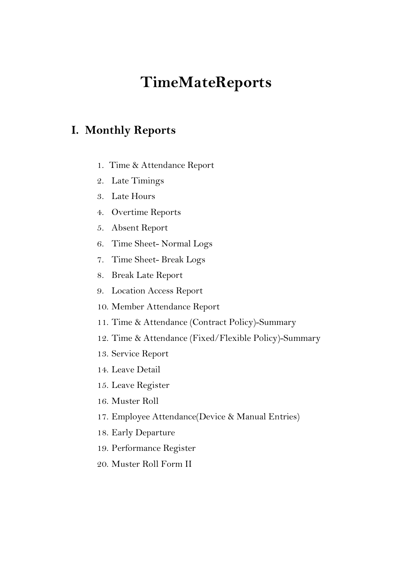# TimeMateReports

### I. Monthly Reports

- 1. Time & Attendance Report
- 2. Late Timings
- 3. Late Hours
- 4. Overtime Reports
- 5. Absent Report
- 6. Time Sheet- Normal Logs
- 7. Time Sheet- Break Logs
- 8. Break Late Report
- 9. Location Access Report
- 10. Member Attendance Report
- 11. Time & Attendance (Contract Policy)-Summary
- 12. Time & Attendance (Fixed/Flexible Policy)-Summary
- 13. Service Report
- 14. Leave Detail
- 15. Leave Register
- 16. Muster Roll
- 17. Employee Attendance(Device & Manual Entries)
- 18. Early Departure
- 19. Performance Register
- 20. Muster Roll Form II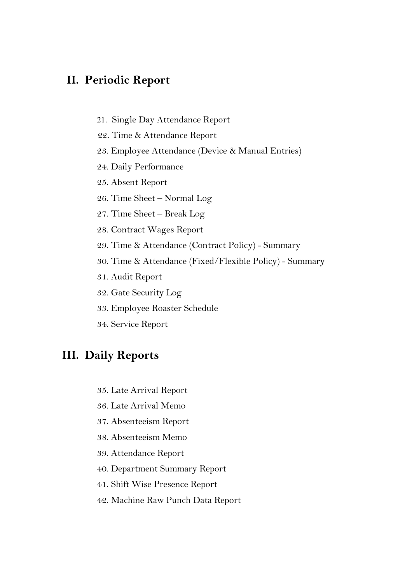#### II. Periodic Report

- 21. Single Day Attendance Report
- 22. Time & Attendance Report
- 23. Employee Attendance (Device & Manual Entries)
- 24. Daily Performance
- 25. Absent Report
- 26. Time Sheet Normal Log
- 27. Time Sheet Break Log
- 28. Contract Wages Report
- 29. Time & Attendance (Contract Policy) Summary
- 30. Time & Attendance (Fixed/Flexible Policy) Summary
- 31. Audit Report
- 32. Gate Security Log
- 33. Employee Roaster Schedule
- 34. Service Report

#### III. Daily Reports

- 35. Late Arrival Report
- 36. Late Arrival Memo
- 37. Absenteeism Report
- 38. Absenteeism Memo
- 39. Attendance Report
- 40. Department Summary Report
- 41. Shift Wise Presence Report
- 42. Machine Raw Punch Data Report